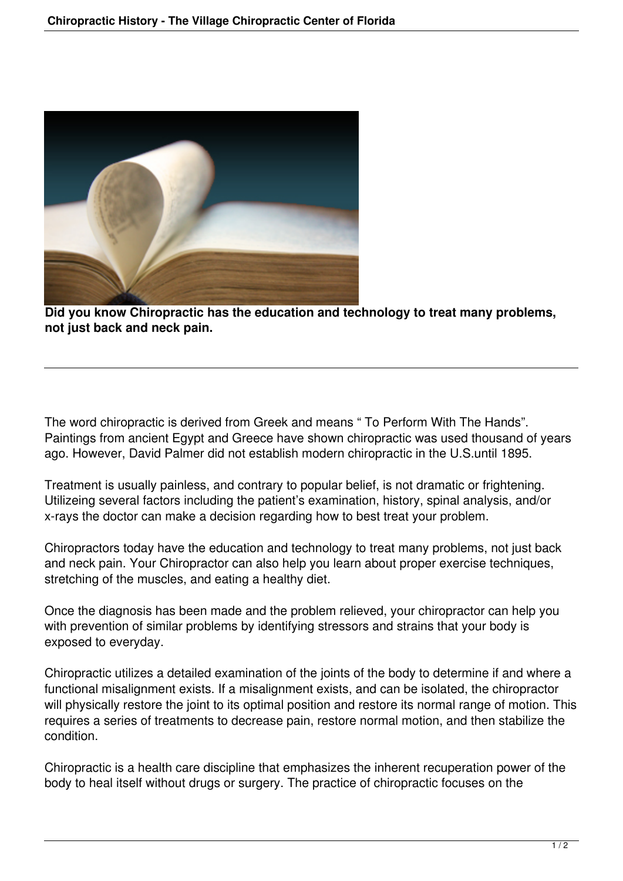

**Did you know Chiropractic has the education and technology to treat many problems, not just back and neck pain.**

The word chiropractic is derived from Greek and means " To Perform With The Hands". Paintings from ancient Egypt and Greece have shown chiropractic was used thousand of years ago. However, David Palmer did not establish modern chiropractic in the U.S.until 1895.

Treatment is usually painless, and contrary to popular belief, is not dramatic or frightening. Utilizeing several factors including the patient's examination, history, spinal analysis, and/or x-rays the doctor can make a decision regarding how to best treat your problem.

Chiropractors today have the education and technology to treat many problems, not just back and neck pain. Your Chiropractor can also help you learn about proper exercise techniques, stretching of the muscles, and eating a healthy diet.

Once the diagnosis has been made and the problem relieved, your chiropractor can help you with prevention of similar problems by identifying stressors and strains that your body is exposed to everyday.

Chiropractic utilizes a detailed examination of the joints of the body to determine if and where a functional misalignment exists. If a misalignment exists, and can be isolated, the chiropractor will physically restore the joint to its optimal position and restore its normal range of motion. This requires a series of treatments to decrease pain, restore normal motion, and then stabilize the condition.

Chiropractic is a health care discipline that emphasizes the inherent recuperation power of the body to heal itself without drugs or surgery. The practice of chiropractic focuses on the